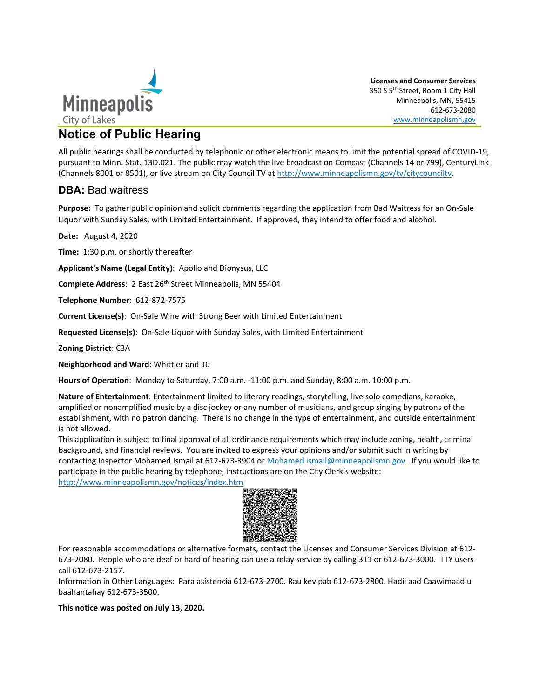

**Licenses and Consumer Services** 350 S 5th Street, Room 1 City Hall Minneapolis, MN, 55415 612-673-2080 www.minneapolismn,gov

## **Notice of Public Hearing**

All public hearings shall be conducted by telephonic or other electronic means to limit the potential spread of COVID-19, pursuant to Minn. Stat. 13D.021. The public may watch the live broadcast on Comcast (Channels 14 or 799), CenturyLink (Channels 8001 or 8501), or live stream on [City Council TV](http://www.minneapolismn.gov/tv/citycounciltv) at [http://www.minneapolismn.gov/tv/citycounciltv.](http://www.minneapolismn.gov/tv/citycounciltv) 

## **DBA:** Bad waitress

**Purpose:** To gather public opinion and solicit comments regarding the application from Bad Waitress for an On-Sale Liquor with Sunday Sales, with Limited Entertainment. If approved, they intend to offer food and alcohol.

**Date:** August 4, 2020

**Time:** 1:30 p.m. or shortly thereafter

**Applicant's Name (Legal Entity)**: Apollo and Dionysus, LLC

**Complete Address**: 2 East 26<sup>th</sup> Street Minneapolis, MN 55404

**Telephone Number**: 612-872-7575

**Current License(s)**: On-Sale Wine with Strong Beer with Limited Entertainment

**Requested License(s)**: On-Sale Liquor with Sunday Sales, with Limited Entertainment

**Zoning District**: C3A

**Neighborhood and Ward**: Whittier and 10

**Hours of Operation**: Monday to Saturday, 7:00 a.m. -11:00 p.m. and Sunday, 8:00 a.m. 10:00 p.m.

**Nature of Entertainment**: Entertainment limited to literary readings, storytelling, live solo comedians, karaoke, amplified or nonamplified music by a disc jockey or any number of musicians, and group singing by patrons of the establishment, with no patron dancing. There is no change in the type of entertainment, and outside entertainment is not allowed.

This application is subject to final approval of all ordinance requirements which may include zoning, health, criminal background, and financial reviews. You are invited to express your opinions and/or submit such in writing by contacting Inspector Mohamed Ismail at 612-673-3904 o[r Mohamed.ismail@minneapolismn.gov.](mailto:Mohamed.ismail@minneapolismn.gov) If you would like to participate in the public hearing by telephone, instructions are on the City Clerk's website: <http://www.minneapolismn.gov/notices/index.htm>



For reasonable accommodations or alternative formats, contact the Licenses and Consumer Services Division at 612- 673-2080. People who are deaf or hard of hearing can use a relay service by calling 311 or 612-673-3000. TTY users call 612-673-2157.

Information in Other Languages: Para asistencia 612-673-2700. Rau kev pab 612-673-2800. Hadii aad Caawimaad u baahantahay 612-673-3500.

**This notice was posted on July 13, 2020.**